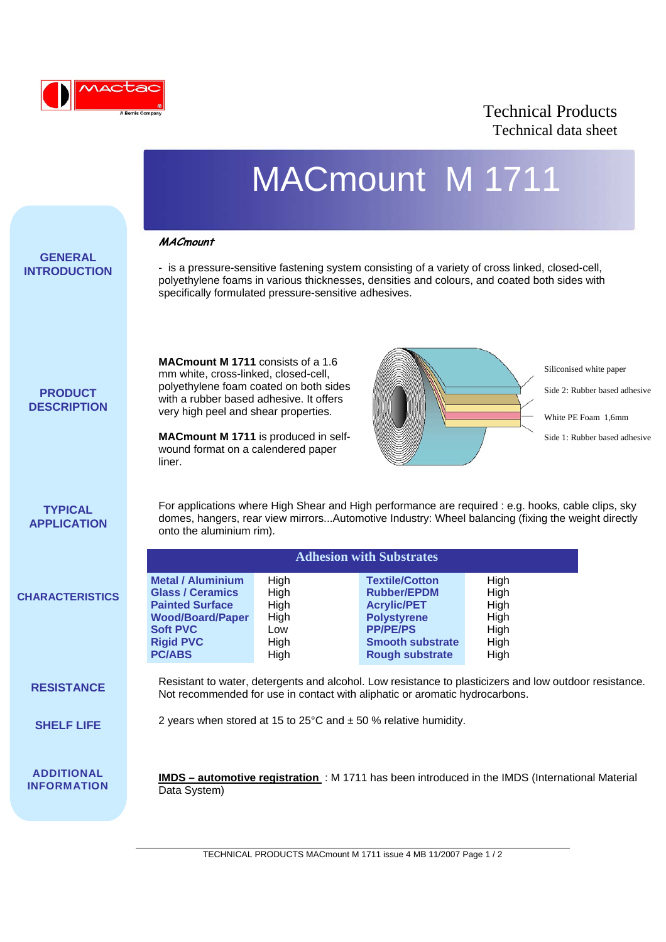

## Technical Products Technical data sheet

|                                         |                                                                                                                                                                                                                                                                                                       |                                                     | MACmount M 1711                                                                                                                                                                                  |                                                      |                                                                                                                  |  |
|-----------------------------------------|-------------------------------------------------------------------------------------------------------------------------------------------------------------------------------------------------------------------------------------------------------------------------------------------------------|-----------------------------------------------------|--------------------------------------------------------------------------------------------------------------------------------------------------------------------------------------------------|------------------------------------------------------|------------------------------------------------------------------------------------------------------------------|--|
| <b>GENERAL</b><br><b>INTRODUCTION</b>   | <b>MACmount</b><br>specifically formulated pressure-sensitive adhesives.                                                                                                                                                                                                                              |                                                     | - is a pressure-sensitive fastening system consisting of a variety of cross linked, closed-cell,<br>polyethylene foams in various thicknesses, densities and colours, and coated both sides with |                                                      |                                                                                                                  |  |
| <b>PRODUCT</b><br><b>DESCRIPTION</b>    | <b>MACmount M 1711</b> consists of a 1.6<br>mm white, cross-linked, closed-cell,<br>polyethylene foam coated on both sides<br>with a rubber based adhesive. It offers<br>very high peel and shear properties.<br>MACmount M 1711 is produced in self-<br>wound format on a calendered paper<br>liner. |                                                     |                                                                                                                                                                                                  |                                                      | Siliconised white paper<br>Side 2: Rubber based adhesive<br>White PE Foam 1.6mm<br>Side 1: Rubber based adhesive |  |
| <b>TYPICAL</b><br><b>APPLICATION</b>    | For applications where High Shear and High performance are required : e.g. hooks, cable clips, sky<br>domes, hangers, rear view mirrorsAutomotive Industry: Wheel balancing (fixing the weight directly<br>onto the aluminium rim).<br><b>Adhesion with Substrates</b>                                |                                                     |                                                                                                                                                                                                  |                                                      |                                                                                                                  |  |
| <b>CHARACTERISTICS</b>                  | <b>Metal / Aluminium</b><br><b>Glass / Ceramics</b><br><b>Painted Surface</b><br><b>Wood/Board/Paper</b><br><b>Soft PVC</b><br><b>Rigid PVC</b><br><b>PC/ABS</b>                                                                                                                                      | High<br>High<br>High<br>High<br>Low<br>High<br>High | <b>Textile/Cotton</b><br><b>Rubber/EPDM</b><br><b>Acrylic/PET</b><br><b>Polystyrene</b><br><b>PP/PE/PS</b><br><b>Smooth substrate</b><br><b>Rough substrate</b>                                  | High<br>High<br>High<br>High<br>High<br>High<br>High |                                                                                                                  |  |
| <b>RESISTANCE</b>                       | Resistant to water, detergents and alcohol. Low resistance to plasticizers and low outdoor resistance.<br>Not recommended for use in contact with aliphatic or aromatic hydrocarbons.                                                                                                                 |                                                     |                                                                                                                                                                                                  |                                                      |                                                                                                                  |  |
| <b>SHELF LIFE</b>                       | 2 years when stored at 15 to 25 $\degree$ C and $\pm$ 50 % relative humidity.                                                                                                                                                                                                                         |                                                     |                                                                                                                                                                                                  |                                                      |                                                                                                                  |  |
| <b>ADDITIONAL</b><br><b>INFORMATION</b> | Data System)                                                                                                                                                                                                                                                                                          |                                                     | IMDS - automotive registration : M 1711 has been introduced in the IMDS (International Material                                                                                                  |                                                      |                                                                                                                  |  |